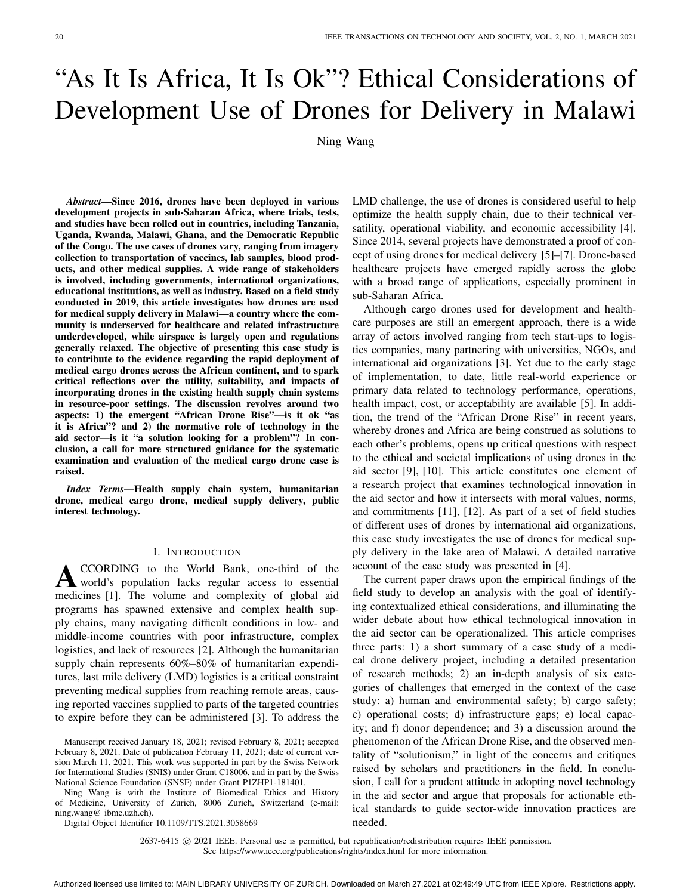# "As It Is Africa, It Is Ok"? Ethical Considerations of Development Use of Drones for Delivery in Malawi

Ning Wang

*Abstract***—Since 2016, drones have been deployed in various development projects in sub-Saharan Africa, where trials, tests, and studies have been rolled out in countries, including Tanzania, Uganda, Rwanda, Malawi, Ghana, and the Democratic Republic of the Congo. The use cases of drones vary, ranging from imagery collection to transportation of vaccines, lab samples, blood products, and other medical supplies. A wide range of stakeholders is involved, including governments, international organizations, educational institutions, as well as industry. Based on a field study conducted in 2019, this article investigates how drones are used for medical supply delivery in Malawi—a country where the community is underserved for healthcare and related infrastructure underdeveloped, while airspace is largely open and regulations generally relaxed. The objective of presenting this case study is to contribute to the evidence regarding the rapid deployment of medical cargo drones across the African continent, and to spark critical reflections over the utility, suitability, and impacts of incorporating drones in the existing health supply chain systems in resource-poor settings. The discussion revolves around two aspects: 1) the emergent "African Drone Rise"—is it ok "as it is Africa"? and 2) the normative role of technology in the aid sector—is it "a solution looking for a problem"? In conclusion, a call for more structured guidance for the systematic examination and evaluation of the medical cargo drone case is raised.**

*Index Terms***—Health supply chain system, humanitarian drone, medical cargo drone, medical supply delivery, public interest technology.**

## I. INTRODUCTION

**A**CCORDING to the World Bank, one-third of the world's population lacks regular access to essential medicines [\[1\]](#page-10-0). The volume and complexity of global aid programs has spawned extensive and complex health supply chains, many navigating difficult conditions in low- and middle-income countries with poor infrastructure, complex logistics, and lack of resources [\[2\]](#page-10-1). Although the humanitarian supply chain represents 60%–80% of humanitarian expenditures, last mile delivery (LMD) logistics is a critical constraint preventing medical supplies from reaching remote areas, causing reported vaccines supplied to parts of the targeted countries to expire before they can be administered [\[3\]](#page-10-2). To address the

Ning Wang is with the Institute of Biomedical Ethics and History of Medicine, University of Zurich, 8006 Zurich, Switzerland (e-mail: ning.wang@ ibme.uzh.ch).

Digital Object Identifier 10.1109/TTS.2021.3058669

LMD challenge, the use of drones is considered useful to help optimize the health supply chain, due to their technical versatility, operational viability, and economic accessibility [\[4\]](#page-10-3). Since 2014, several projects have demonstrated a proof of concept of using drones for medical delivery [\[5\]](#page-10-4)–[\[7\]](#page-10-5). Drone-based healthcare projects have emerged rapidly across the globe with a broad range of applications, especially prominent in sub-Saharan Africa.

Although cargo drones used for development and healthcare purposes are still an emergent approach, there is a wide array of actors involved ranging from tech start-ups to logistics companies, many partnering with universities, NGOs, and international aid organizations [\[3\]](#page-10-2). Yet due to the early stage of implementation, to date, little real-world experience or primary data related to technology performance, operations, health impact, cost, or acceptability are available [\[5\]](#page-10-4). In addition, the trend of the "African Drone Rise" in recent years, whereby drones and Africa are being construed as solutions to each other's problems, opens up critical questions with respect to the ethical and societal implications of using drones in the aid sector [\[9\]](#page-10-6), [\[10\]](#page-10-7). This article constitutes one element of a research project that examines technological innovation in the aid sector and how it intersects with moral values, norms, and commitments [\[11\]](#page-10-8), [\[12\]](#page-10-9). As part of a set of field studies of different uses of drones by international aid organizations, this case study investigates the use of drones for medical supply delivery in the lake area of Malawi. A detailed narrative account of the case study was presented in [\[4\]](#page-10-3).

The current paper draws upon the empirical findings of the field study to develop an analysis with the goal of identifying contextualized ethical considerations, and illuminating the wider debate about how ethical technological innovation in the aid sector can be operationalized. This article comprises three parts: 1) a short summary of a case study of a medical drone delivery project, including a detailed presentation of research methods; 2) an in-depth analysis of six categories of challenges that emerged in the context of the case study: a) human and environmental safety; b) cargo safety; c) operational costs; d) infrastructure gaps; e) local capacity; and f) donor dependence; and 3) a discussion around the phenomenon of the African Drone Rise, and the observed mentality of "solutionism," in light of the concerns and critiques raised by scholars and practitioners in the field. In conclusion, I call for a prudent attitude in adopting novel technology in the aid sector and argue that proposals for actionable ethical standards to guide sector-wide innovation practices are needed.

2637-6415  $\odot$  2021 IEEE. Personal use is permitted, but republication/redistribution requires IEEE permission. See https://www.ieee.org/publications/rights/index.html for more information.

Manuscript received January 18, 2021; revised February 8, 2021; accepted February 8, 2021. Date of publication February 11, 2021; date of current version March 11, 2021. This work was supported in part by the Swiss Network for International Studies (SNIS) under Grant C18006, and in part by the Swiss National Science Foundation (SNSF) under Grant P1ZHP1-181401.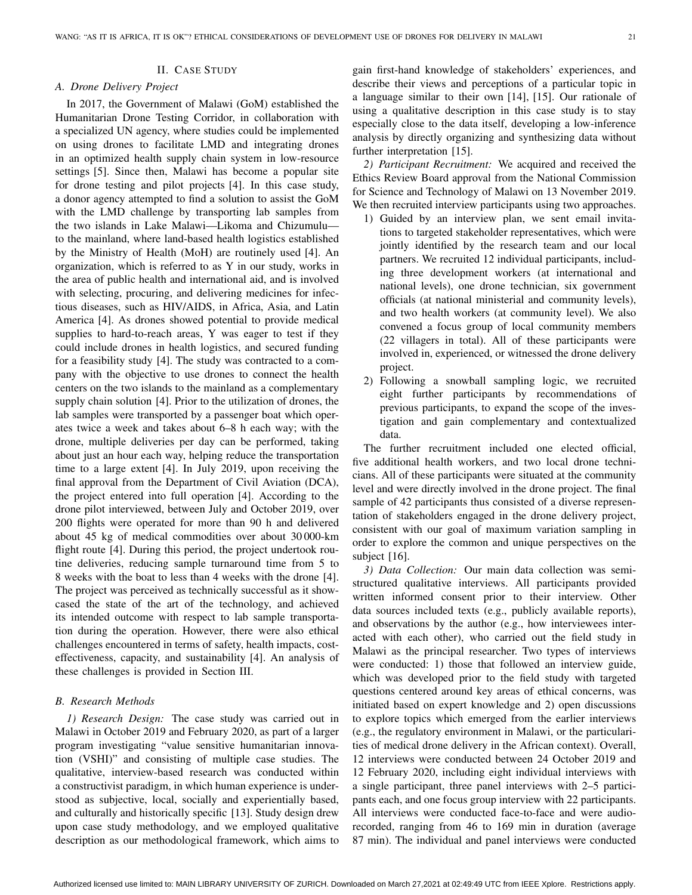## *A. Drone Delivery Project*

In 2017, the Government of Malawi (GoM) established the Humanitarian Drone Testing Corridor, in collaboration with a specialized UN agency, where studies could be implemented on using drones to facilitate LMD and integrating drones in an optimized health supply chain system in low-resource settings [\[5\]](#page-10-4). Since then, Malawi has become a popular site for drone testing and pilot projects [\[4\]](#page-10-3). In this case study, a donor agency attempted to find a solution to assist the GoM with the LMD challenge by transporting lab samples from the two islands in Lake Malawi—Likoma and Chizumulu to the mainland, where land-based health logistics established by the Ministry of Health (MoH) are routinely used [\[4\]](#page-10-3). An organization, which is referred to as Y in our study, works in the area of public health and international aid, and is involved with selecting, procuring, and delivering medicines for infectious diseases, such as HIV/AIDS, in Africa, Asia, and Latin America [\[4\]](#page-10-3). As drones showed potential to provide medical supplies to hard-to-reach areas, Y was eager to test if they could include drones in health logistics, and secured funding for a feasibility study [\[4\]](#page-10-3). The study was contracted to a company with the objective to use drones to connect the health centers on the two islands to the mainland as a complementary supply chain solution [\[4\]](#page-10-3). Prior to the utilization of drones, the lab samples were transported by a passenger boat which operates twice a week and takes about 6–8 h each way; with the drone, multiple deliveries per day can be performed, taking about just an hour each way, helping reduce the transportation time to a large extent [\[4\]](#page-10-3). In July 2019, upon receiving the final approval from the Department of Civil Aviation (DCA), the project entered into full operation [\[4\]](#page-10-3). According to the drone pilot interviewed, between July and October 2019, over 200 flights were operated for more than 90 h and delivered about 45 kg of medical commodities over about 30 000-km flight route [\[4\]](#page-10-3). During this period, the project undertook routine deliveries, reducing sample turnaround time from 5 to 8 weeks with the boat to less than 4 weeks with the drone [\[4\]](#page-10-3). The project was perceived as technically successful as it showcased the state of the art of the technology, and achieved its intended outcome with respect to lab sample transportation during the operation. However, there were also ethical challenges encountered in terms of safety, health impacts, costeffectiveness, capacity, and sustainability [\[4\]](#page-10-3). An analysis of these challenges is provided in Section III.

# *B. Research Methods*

*1) Research Design:* The case study was carried out in Malawi in October 2019 and February 2020, as part of a larger program investigating "value sensitive humanitarian innovation (VSHI)" and consisting of multiple case studies. The qualitative, interview-based research was conducted within a constructivist paradigm, in which human experience is understood as subjective, local, socially and experientially based, and culturally and historically specific [\[13\]](#page-10-10). Study design drew upon case study methodology, and we employed qualitative description as our methodological framework, which aims to gain first-hand knowledge of stakeholders' experiences, and describe their views and perceptions of a particular topic in a language similar to their own [\[14\]](#page-10-11), [\[15\]](#page-10-12). Our rationale of using a qualitative description in this case study is to stay especially close to the data itself, developing a low-inference analysis by directly organizing and synthesizing data without further interpretation [\[15\]](#page-10-12).

*2) Participant Recruitment:* We acquired and received the Ethics Review Board approval from the National Commission for Science and Technology of Malawi on 13 November 2019. We then recruited interview participants using two approaches.

- 1) Guided by an interview plan, we sent email invitations to targeted stakeholder representatives, which were jointly identified by the research team and our local partners. We recruited 12 individual participants, including three development workers (at international and national levels), one drone technician, six government officials (at national ministerial and community levels), and two health workers (at community level). We also convened a focus group of local community members (22 villagers in total). All of these participants were involved in, experienced, or witnessed the drone delivery project.
- 2) Following a snowball sampling logic, we recruited eight further participants by recommendations of previous participants, to expand the scope of the investigation and gain complementary and contextualized data.

The further recruitment included one elected official, five additional health workers, and two local drone technicians. All of these participants were situated at the community level and were directly involved in the drone project. The final sample of 42 participants thus consisted of a diverse representation of stakeholders engaged in the drone delivery project, consistent with our goal of maximum variation sampling in order to explore the common and unique perspectives on the subject [\[16\]](#page-10-13).

*3) Data Collection:* Our main data collection was semistructured qualitative interviews. All participants provided written informed consent prior to their interview. Other data sources included texts (e.g., publicly available reports), and observations by the author (e.g., how interviewees interacted with each other), who carried out the field study in Malawi as the principal researcher. Two types of interviews were conducted: 1) those that followed an interview guide, which was developed prior to the field study with targeted questions centered around key areas of ethical concerns, was initiated based on expert knowledge and 2) open discussions to explore topics which emerged from the earlier interviews (e.g., the regulatory environment in Malawi, or the particularities of medical drone delivery in the African context). Overall, 12 interviews were conducted between 24 October 2019 and 12 February 2020, including eight individual interviews with a single participant, three panel interviews with 2–5 participants each, and one focus group interview with 22 participants. All interviews were conducted face-to-face and were audiorecorded, ranging from 46 to 169 min in duration (average 87 min). The individual and panel interviews were conducted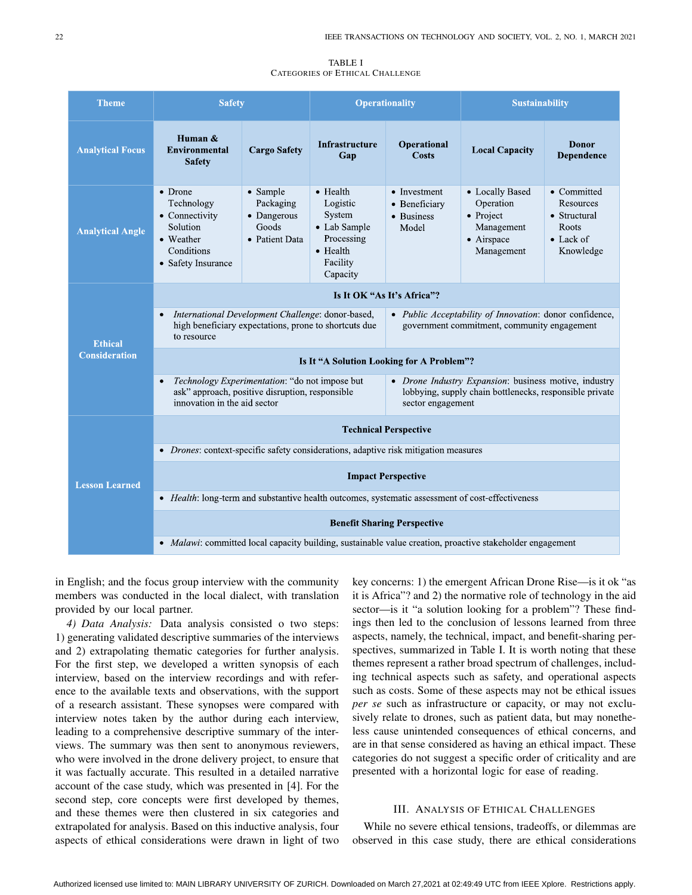#### TABLE I CATEGORIES OF ETHICAL CHALLENGE

<span id="page-2-0"></span>

| <b>Theme</b>                           | <b>Safety</b>                                                                                                                                  |                                                                 | <b>Operationality</b>                                                                                    |                                                                                                                                       | <b>Sustainability</b>                                                               |                                                                             |
|----------------------------------------|------------------------------------------------------------------------------------------------------------------------------------------------|-----------------------------------------------------------------|----------------------------------------------------------------------------------------------------------|---------------------------------------------------------------------------------------------------------------------------------------|-------------------------------------------------------------------------------------|-----------------------------------------------------------------------------|
| <b>Analytical Focus</b>                | Human &<br><b>Environmental</b><br><b>Safety</b>                                                                                               | <b>Cargo Safety</b>                                             | <b>Infrastructure</b><br>Gap                                                                             | Operational<br><b>Costs</b>                                                                                                           | <b>Local Capacity</b>                                                               | <b>Donor</b><br>Dependence                                                  |
| <b>Analytical Angle</b>                | • Drone<br>Technology<br>• Connectivity<br><b>Solution</b><br>• Weather<br>Conditions<br>• Safety Insurance                                    | • Sample<br>Packaging<br>• Dangerous<br>Goods<br>• Patient Data | $\bullet$ Health<br>Logistic<br>System<br>• Lab Sample<br>Processing<br>• Health<br>Facility<br>Capacity | • Investment<br>• Beneficiary<br>• Business<br>Model                                                                                  | • Locally Based<br>Operation<br>• Project<br>Management<br>· Airspace<br>Management | • Committed<br>Resources<br>• Structural<br>Roots<br>• Lack of<br>Knowledge |
| <b>Ethical</b><br><b>Consideration</b> | Is It OK "As It's Africa"?                                                                                                                     |                                                                 |                                                                                                          |                                                                                                                                       |                                                                                     |                                                                             |
|                                        | International Development Challenge: donor-based,<br>$\bullet$<br>high beneficiary expectations, prone to shortcuts due<br>to resource         |                                                                 |                                                                                                          | • Public Acceptability of Innovation: donor confidence,<br>government commitment, community engagement                                |                                                                                     |                                                                             |
|                                        | Is It "A Solution Looking for A Problem"?                                                                                                      |                                                                 |                                                                                                          |                                                                                                                                       |                                                                                     |                                                                             |
|                                        | Technology Experimentation: "do not impose but<br>$\bullet$<br>ask" approach, positive disruption, responsible<br>innovation in the aid sector |                                                                 |                                                                                                          | • Drone Industry Expansion: business motive, industry<br>lobbying, supply chain bottlenecks, responsible private<br>sector engagement |                                                                                     |                                                                             |
| <b>Lesson Learned</b>                  | <b>Technical Perspective</b>                                                                                                                   |                                                                 |                                                                                                          |                                                                                                                                       |                                                                                     |                                                                             |
|                                        | • <i>Drones:</i> context-specific safety considerations, adaptive risk mitigation measures                                                     |                                                                 |                                                                                                          |                                                                                                                                       |                                                                                     |                                                                             |
|                                        | <b>Impact Perspective</b>                                                                                                                      |                                                                 |                                                                                                          |                                                                                                                                       |                                                                                     |                                                                             |
|                                        | • Health: long-term and substantive health outcomes, systematic assessment of cost-effectiveness                                               |                                                                 |                                                                                                          |                                                                                                                                       |                                                                                     |                                                                             |
|                                        | <b>Benefit Sharing Perspective</b>                                                                                                             |                                                                 |                                                                                                          |                                                                                                                                       |                                                                                     |                                                                             |
|                                        | • Malawi: committed local capacity building, sustainable value creation, proactive stakeholder engagement                                      |                                                                 |                                                                                                          |                                                                                                                                       |                                                                                     |                                                                             |

in English; and the focus group interview with the community members was conducted in the local dialect, with translation provided by our local partner.

*4) Data Analysis:* Data analysis consisted o two steps: 1) generating validated descriptive summaries of the interviews and 2) extrapolating thematic categories for further analysis. For the first step, we developed a written synopsis of each interview, based on the interview recordings and with reference to the available texts and observations, with the support of a research assistant. These synopses were compared with interview notes taken by the author during each interview, leading to a comprehensive descriptive summary of the interviews. The summary was then sent to anonymous reviewers, who were involved in the drone delivery project, to ensure that it was factually accurate. This resulted in a detailed narrative account of the case study, which was presented in [\[4\]](#page-10-3). For the second step, core concepts were first developed by themes, and these themes were then clustered in six categories and extrapolated for analysis. Based on this inductive analysis, four aspects of ethical considerations were drawn in light of two

key concerns: 1) the emergent African Drone Rise—is it ok "as it is Africa"? and 2) the normative role of technology in the aid sector—is it "a solution looking for a problem"? These findings then led to the conclusion of lessons learned from three aspects, namely, the technical, impact, and benefit-sharing perspectives, summarized in Table [I.](#page-2-0) It is worth noting that these themes represent a rather broad spectrum of challenges, including technical aspects such as safety, and operational aspects such as costs. Some of these aspects may not be ethical issues *per se* such as infrastructure or capacity, or may not exclusively relate to drones, such as patient data, but may nonetheless cause unintended consequences of ethical concerns, and are in that sense considered as having an ethical impact. These categories do not suggest a specific order of criticality and are presented with a horizontal logic for ease of reading.

## III. ANALYSIS OF ETHICAL CHALLENGES

While no severe ethical tensions, tradeoffs, or dilemmas are observed in this case study, there are ethical considerations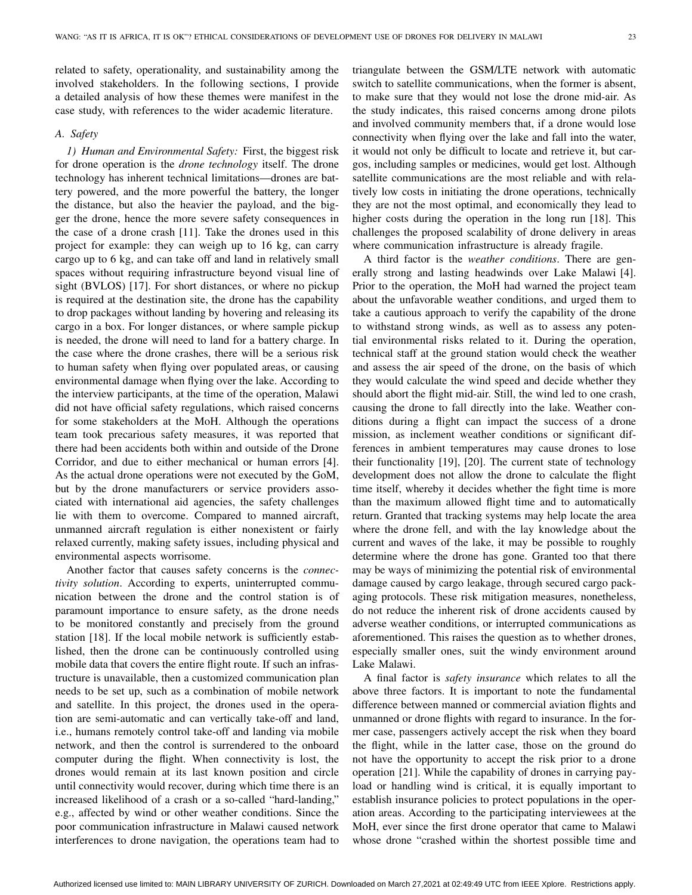related to safety, operationality, and sustainability among the involved stakeholders. In the following sections, I provide a detailed analysis of how these themes were manifest in the case study, with references to the wider academic literature.

## *A. Safety*

*1) Human and Environmental Safety:* First, the biggest risk for drone operation is the *drone technology* itself. The drone technology has inherent technical limitations—drones are battery powered, and the more powerful the battery, the longer the distance, but also the heavier the payload, and the bigger the drone, hence the more severe safety consequences in the case of a drone crash [\[11\]](#page-10-8). Take the drones used in this project for example: they can weigh up to 16 kg, can carry cargo up to 6 kg, and can take off and land in relatively small spaces without requiring infrastructure beyond visual line of sight (BVLOS) [\[17\]](#page-10-14). For short distances, or where no pickup is required at the destination site, the drone has the capability to drop packages without landing by hovering and releasing its cargo in a box. For longer distances, or where sample pickup is needed, the drone will need to land for a battery charge. In the case where the drone crashes, there will be a serious risk to human safety when flying over populated areas, or causing environmental damage when flying over the lake. According to the interview participants, at the time of the operation, Malawi did not have official safety regulations, which raised concerns for some stakeholders at the MoH. Although the operations team took precarious safety measures, it was reported that there had been accidents both within and outside of the Drone Corridor, and due to either mechanical or human errors [\[4\]](#page-10-3). As the actual drone operations were not executed by the GoM, but by the drone manufacturers or service providers associated with international aid agencies, the safety challenges lie with them to overcome. Compared to manned aircraft, unmanned aircraft regulation is either nonexistent or fairly relaxed currently, making safety issues, including physical and environmental aspects worrisome.

Another factor that causes safety concerns is the *connectivity solution*. According to experts, uninterrupted communication between the drone and the control station is of paramount importance to ensure safety, as the drone needs to be monitored constantly and precisely from the ground station [\[18\]](#page-10-15). If the local mobile network is sufficiently established, then the drone can be continuously controlled using mobile data that covers the entire flight route. If such an infrastructure is unavailable, then a customized communication plan needs to be set up, such as a combination of mobile network and satellite. In this project, the drones used in the operation are semi-automatic and can vertically take-off and land, i.e., humans remotely control take-off and landing via mobile network, and then the control is surrendered to the onboard computer during the flight. When connectivity is lost, the drones would remain at its last known position and circle until connectivity would recover, during which time there is an increased likelihood of a crash or a so-called "hard-landing," e.g., affected by wind or other weather conditions. Since the poor communication infrastructure in Malawi caused network interferences to drone navigation, the operations team had to

triangulate between the GSM/LTE network with automatic switch to satellite communications, when the former is absent, to make sure that they would not lose the drone mid-air. As the study indicates, this raised concerns among drone pilots and involved community members that, if a drone would lose connectivity when flying over the lake and fall into the water, it would not only be difficult to locate and retrieve it, but cargos, including samples or medicines, would get lost. Although satellite communications are the most reliable and with relatively low costs in initiating the drone operations, technically they are not the most optimal, and economically they lead to higher costs during the operation in the long run [\[18\]](#page-10-15). This challenges the proposed scalability of drone delivery in areas where communication infrastructure is already fragile.

A third factor is the *weather conditions*. There are generally strong and lasting headwinds over Lake Malawi [\[4\]](#page-10-3). Prior to the operation, the MoH had warned the project team about the unfavorable weather conditions, and urged them to take a cautious approach to verify the capability of the drone to withstand strong winds, as well as to assess any potential environmental risks related to it. During the operation, technical staff at the ground station would check the weather and assess the air speed of the drone, on the basis of which they would calculate the wind speed and decide whether they should abort the flight mid-air. Still, the wind led to one crash, causing the drone to fall directly into the lake. Weather conditions during a flight can impact the success of a drone mission, as inclement weather conditions or significant differences in ambient temperatures may cause drones to lose their functionality [\[19\]](#page-10-16), [\[20\]](#page-10-17). The current state of technology development does not allow the drone to calculate the flight time itself, whereby it decides whether the fight time is more than the maximum allowed flight time and to automatically return. Granted that tracking systems may help locate the area where the drone fell, and with the lay knowledge about the current and waves of the lake, it may be possible to roughly determine where the drone has gone. Granted too that there may be ways of minimizing the potential risk of environmental damage caused by cargo leakage, through secured cargo packaging protocols. These risk mitigation measures, nonetheless, do not reduce the inherent risk of drone accidents caused by adverse weather conditions, or interrupted communications as aforementioned. This raises the question as to whether drones, especially smaller ones, suit the windy environment around Lake Malawi.

A final factor is *safety insurance* which relates to all the above three factors. It is important to note the fundamental difference between manned or commercial aviation flights and unmanned or drone flights with regard to insurance. In the former case, passengers actively accept the risk when they board the flight, while in the latter case, those on the ground do not have the opportunity to accept the risk prior to a drone operation [\[21\]](#page-10-18). While the capability of drones in carrying payload or handling wind is critical, it is equally important to establish insurance policies to protect populations in the operation areas. According to the participating interviewees at the MoH, ever since the first drone operator that came to Malawi whose drone "crashed within the shortest possible time and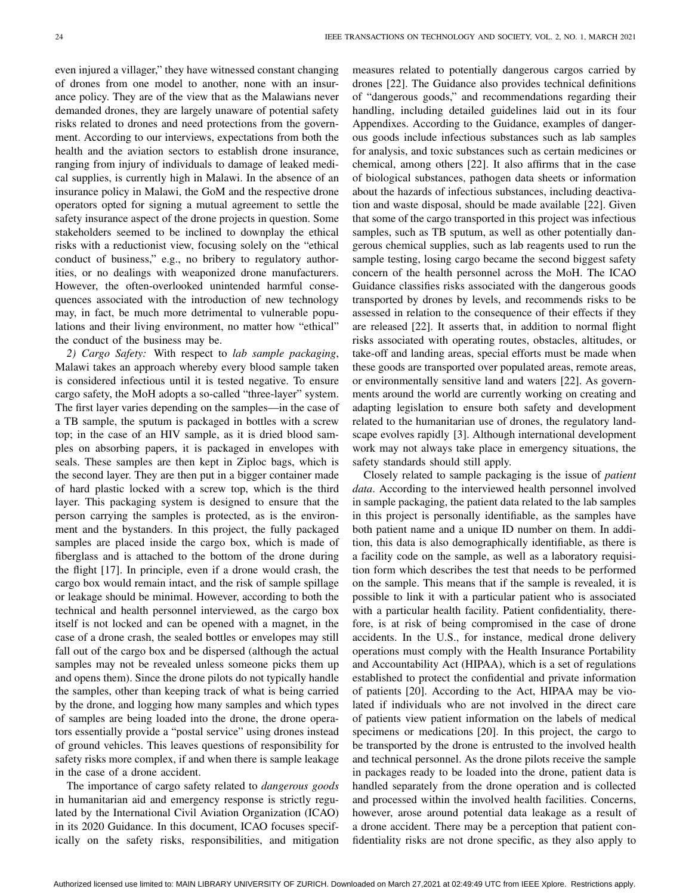even injured a villager," they have witnessed constant changing of drones from one model to another, none with an insurance policy. They are of the view that as the Malawians never demanded drones, they are largely unaware of potential safety risks related to drones and need protections from the government. According to our interviews, expectations from both the health and the aviation sectors to establish drone insurance, ranging from injury of individuals to damage of leaked medical supplies, is currently high in Malawi. In the absence of an insurance policy in Malawi, the GoM and the respective drone operators opted for signing a mutual agreement to settle the safety insurance aspect of the drone projects in question. Some stakeholders seemed to be inclined to downplay the ethical risks with a reductionist view, focusing solely on the "ethical conduct of business," e.g., no bribery to regulatory authorities, or no dealings with weaponized drone manufacturers. However, the often-overlooked unintended harmful consequences associated with the introduction of new technology may, in fact, be much more detrimental to vulnerable populations and their living environment, no matter how "ethical" the conduct of the business may be.

*2) Cargo Safety:* With respect to *lab sample packaging*, Malawi takes an approach whereby every blood sample taken is considered infectious until it is tested negative. To ensure cargo safety, the MoH adopts a so-called "three-layer" system. The first layer varies depending on the samples—in the case of a TB sample, the sputum is packaged in bottles with a screw top; in the case of an HIV sample, as it is dried blood samples on absorbing papers, it is packaged in envelopes with seals. These samples are then kept in Ziploc bags, which is the second layer. They are then put in a bigger container made of hard plastic locked with a screw top, which is the third layer. This packaging system is designed to ensure that the person carrying the samples is protected, as is the environment and the bystanders. In this project, the fully packaged samples are placed inside the cargo box, which is made of fiberglass and is attached to the bottom of the drone during the flight [\[17\]](#page-10-14). In principle, even if a drone would crash, the cargo box would remain intact, and the risk of sample spillage or leakage should be minimal. However, according to both the technical and health personnel interviewed, as the cargo box itself is not locked and can be opened with a magnet, in the case of a drone crash, the sealed bottles or envelopes may still fall out of the cargo box and be dispersed (although the actual samples may not be revealed unless someone picks them up and opens them). Since the drone pilots do not typically handle the samples, other than keeping track of what is being carried by the drone, and logging how many samples and which types of samples are being loaded into the drone, the drone operators essentially provide a "postal service" using drones instead of ground vehicles. This leaves questions of responsibility for safety risks more complex, if and when there is sample leakage in the case of a drone accident.

The importance of cargo safety related to *dangerous goods* in humanitarian aid and emergency response is strictly regulated by the International Civil Aviation Organization (ICAO) in its 2020 Guidance. In this document, ICAO focuses specifically on the safety risks, responsibilities, and mitigation measures related to potentially dangerous cargos carried by drones [\[22\]](#page-10-19). The Guidance also provides technical definitions of "dangerous goods," and recommendations regarding their handling, including detailed guidelines laid out in its four Appendixes. According to the Guidance, examples of dangerous goods include infectious substances such as lab samples for analysis, and toxic substances such as certain medicines or chemical, among others [\[22\]](#page-10-19). It also affirms that in the case of biological substances, pathogen data sheets or information about the hazards of infectious substances, including deactivation and waste disposal, should be made available [\[22\]](#page-10-19). Given that some of the cargo transported in this project was infectious samples, such as TB sputum, as well as other potentially dangerous chemical supplies, such as lab reagents used to run the sample testing, losing cargo became the second biggest safety concern of the health personnel across the MoH. The ICAO Guidance classifies risks associated with the dangerous goods transported by drones by levels, and recommends risks to be assessed in relation to the consequence of their effects if they are released [\[22\]](#page-10-19). It asserts that, in addition to normal flight risks associated with operating routes, obstacles, altitudes, or take-off and landing areas, special efforts must be made when these goods are transported over populated areas, remote areas, or environmentally sensitive land and waters [\[22\]](#page-10-19). As governments around the world are currently working on creating and adapting legislation to ensure both safety and development related to the humanitarian use of drones, the regulatory landscape evolves rapidly [\[3\]](#page-10-2). Although international development work may not always take place in emergency situations, the safety standards should still apply.

Closely related to sample packaging is the issue of *patient data*. According to the interviewed health personnel involved in sample packaging, the patient data related to the lab samples in this project is personally identifiable, as the samples have both patient name and a unique ID number on them. In addition, this data is also demographically identifiable, as there is a facility code on the sample, as well as a laboratory requisition form which describes the test that needs to be performed on the sample. This means that if the sample is revealed, it is possible to link it with a particular patient who is associated with a particular health facility. Patient confidentiality, therefore, is at risk of being compromised in the case of drone accidents. In the U.S., for instance, medical drone delivery operations must comply with the Health Insurance Portability and Accountability Act (HIPAA), which is a set of regulations established to protect the confidential and private information of patients [\[20\]](#page-10-17). According to the Act, HIPAA may be violated if individuals who are not involved in the direct care of patients view patient information on the labels of medical specimens or medications [\[20\]](#page-10-17). In this project, the cargo to be transported by the drone is entrusted to the involved health and technical personnel. As the drone pilots receive the sample in packages ready to be loaded into the drone, patient data is handled separately from the drone operation and is collected and processed within the involved health facilities. Concerns, however, arose around potential data leakage as a result of a drone accident. There may be a perception that patient confidentiality risks are not drone specific, as they also apply to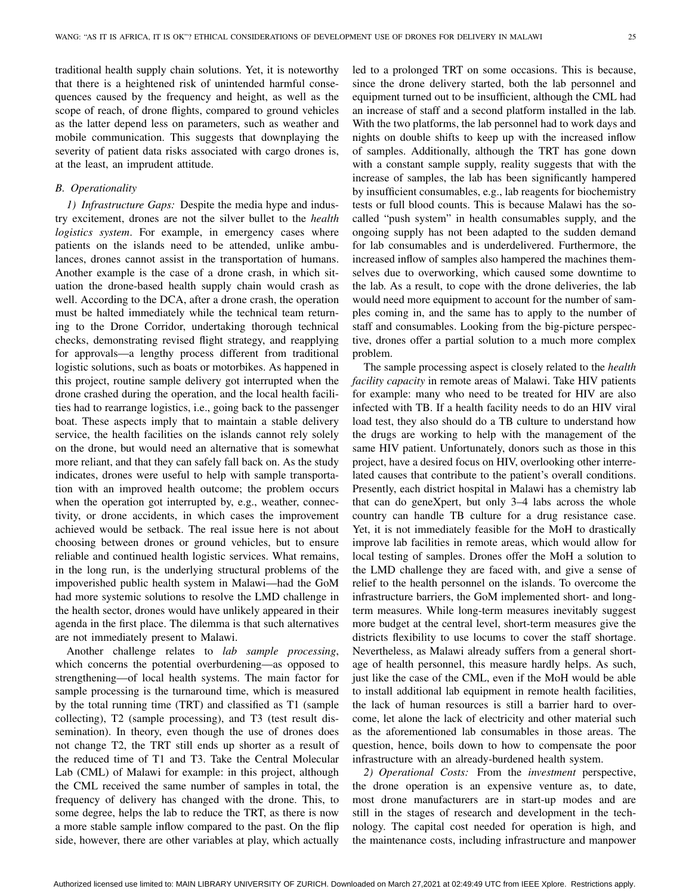traditional health supply chain solutions. Yet, it is noteworthy that there is a heightened risk of unintended harmful consequences caused by the frequency and height, as well as the scope of reach, of drone flights, compared to ground vehicles as the latter depend less on parameters, such as weather and mobile communication. This suggests that downplaying the severity of patient data risks associated with cargo drones is, at the least, an imprudent attitude.

# *B. Operationality*

*1) Infrastructure Gaps:* Despite the media hype and industry excitement, drones are not the silver bullet to the *health logistics system*. For example, in emergency cases where patients on the islands need to be attended, unlike ambulances, drones cannot assist in the transportation of humans. Another example is the case of a drone crash, in which situation the drone-based health supply chain would crash as well. According to the DCA, after a drone crash, the operation must be halted immediately while the technical team returning to the Drone Corridor, undertaking thorough technical checks, demonstrating revised flight strategy, and reapplying for approvals—a lengthy process different from traditional logistic solutions, such as boats or motorbikes. As happened in this project, routine sample delivery got interrupted when the drone crashed during the operation, and the local health facilities had to rearrange logistics, i.e., going back to the passenger boat. These aspects imply that to maintain a stable delivery service, the health facilities on the islands cannot rely solely on the drone, but would need an alternative that is somewhat more reliant, and that they can safely fall back on. As the study indicates, drones were useful to help with sample transportation with an improved health outcome; the problem occurs when the operation got interrupted by, e.g., weather, connectivity, or drone accidents, in which cases the improvement achieved would be setback. The real issue here is not about choosing between drones or ground vehicles, but to ensure reliable and continued health logistic services. What remains, in the long run, is the underlying structural problems of the impoverished public health system in Malawi—had the GoM had more systemic solutions to resolve the LMD challenge in the health sector, drones would have unlikely appeared in their agenda in the first place. The dilemma is that such alternatives are not immediately present to Malawi.

Another challenge relates to *lab sample processing*, which concerns the potential overburdening—as opposed to strengthening—of local health systems. The main factor for sample processing is the turnaround time, which is measured by the total running time (TRT) and classified as T1 (sample collecting), T2 (sample processing), and T3 (test result dissemination). In theory, even though the use of drones does not change T2, the TRT still ends up shorter as a result of the reduced time of T1 and T3. Take the Central Molecular Lab (CML) of Malawi for example: in this project, although the CML received the same number of samples in total, the frequency of delivery has changed with the drone. This, to some degree, helps the lab to reduce the TRT, as there is now a more stable sample inflow compared to the past. On the flip side, however, there are other variables at play, which actually

led to a prolonged TRT on some occasions. This is because, since the drone delivery started, both the lab personnel and equipment turned out to be insufficient, although the CML had an increase of staff and a second platform installed in the lab. With the two platforms, the lab personnel had to work days and nights on double shifts to keep up with the increased inflow of samples. Additionally, although the TRT has gone down with a constant sample supply, reality suggests that with the increase of samples, the lab has been significantly hampered by insufficient consumables, e.g., lab reagents for biochemistry tests or full blood counts. This is because Malawi has the socalled "push system" in health consumables supply, and the ongoing supply has not been adapted to the sudden demand for lab consumables and is underdelivered. Furthermore, the increased inflow of samples also hampered the machines themselves due to overworking, which caused some downtime to the lab. As a result, to cope with the drone deliveries, the lab would need more equipment to account for the number of samples coming in, and the same has to apply to the number of staff and consumables. Looking from the big-picture perspective, drones offer a partial solution to a much more complex problem.

The sample processing aspect is closely related to the *health facility capacity* in remote areas of Malawi. Take HIV patients for example: many who need to be treated for HIV are also infected with TB. If a health facility needs to do an HIV viral load test, they also should do a TB culture to understand how the drugs are working to help with the management of the same HIV patient. Unfortunately, donors such as those in this project, have a desired focus on HIV, overlooking other interrelated causes that contribute to the patient's overall conditions. Presently, each district hospital in Malawi has a chemistry lab that can do geneXpert, but only 3–4 labs across the whole country can handle TB culture for a drug resistance case. Yet, it is not immediately feasible for the MoH to drastically improve lab facilities in remote areas, which would allow for local testing of samples. Drones offer the MoH a solution to the LMD challenge they are faced with, and give a sense of relief to the health personnel on the islands. To overcome the infrastructure barriers, the GoM implemented short- and longterm measures. While long-term measures inevitably suggest more budget at the central level, short-term measures give the districts flexibility to use locums to cover the staff shortage. Nevertheless, as Malawi already suffers from a general shortage of health personnel, this measure hardly helps. As such, just like the case of the CML, even if the MoH would be able to install additional lab equipment in remote health facilities, the lack of human resources is still a barrier hard to overcome, let alone the lack of electricity and other material such as the aforementioned lab consumables in those areas. The question, hence, boils down to how to compensate the poor infrastructure with an already-burdened health system.

*2) Operational Costs:* From the *investment* perspective, the drone operation is an expensive venture as, to date, most drone manufacturers are in start-up modes and are still in the stages of research and development in the technology. The capital cost needed for operation is high, and the maintenance costs, including infrastructure and manpower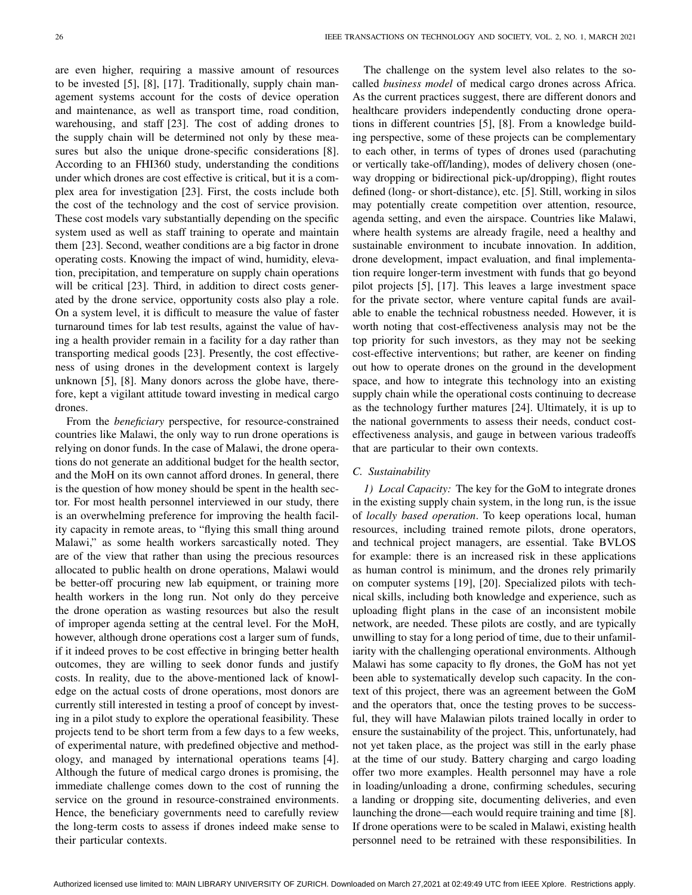are even higher, requiring a massive amount of resources to be invested [\[5\]](#page-10-4), [\[8\]](#page-10-20), [\[17\]](#page-10-14). Traditionally, supply chain management systems account for the costs of device operation and maintenance, as well as transport time, road condition, warehousing, and staff [\[23\]](#page-10-21). The cost of adding drones to the supply chain will be determined not only by these measures but also the unique drone-specific considerations [\[8\]](#page-10-20). According to an FHI360 study, understanding the conditions under which drones are cost effective is critical, but it is a complex area for investigation [\[23\]](#page-10-21). First, the costs include both the cost of the technology and the cost of service provision. These cost models vary substantially depending on the specific system used as well as staff training to operate and maintain them [\[23\]](#page-10-21). Second, weather conditions are a big factor in drone operating costs. Knowing the impact of wind, humidity, elevation, precipitation, and temperature on supply chain operations will be critical [\[23\]](#page-10-21). Third, in addition to direct costs generated by the drone service, opportunity costs also play a role. On a system level, it is difficult to measure the value of faster turnaround times for lab test results, against the value of having a health provider remain in a facility for a day rather than transporting medical goods [\[23\]](#page-10-21). Presently, the cost effectiveness of using drones in the development context is largely unknown [\[5\]](#page-10-4), [\[8\]](#page-10-20). Many donors across the globe have, therefore, kept a vigilant attitude toward investing in medical cargo drones.

From the *beneficiary* perspective, for resource-constrained countries like Malawi, the only way to run drone operations is relying on donor funds. In the case of Malawi, the drone operations do not generate an additional budget for the health sector, and the MoH on its own cannot afford drones. In general, there is the question of how money should be spent in the health sector. For most health personnel interviewed in our study, there is an overwhelming preference for improving the health facility capacity in remote areas, to "flying this small thing around Malawi," as some health workers sarcastically noted. They are of the view that rather than using the precious resources allocated to public health on drone operations, Malawi would be better-off procuring new lab equipment, or training more health workers in the long run. Not only do they perceive the drone operation as wasting resources but also the result of improper agenda setting at the central level. For the MoH, however, although drone operations cost a larger sum of funds, if it indeed proves to be cost effective in bringing better health outcomes, they are willing to seek donor funds and justify costs. In reality, due to the above-mentioned lack of knowledge on the actual costs of drone operations, most donors are currently still interested in testing a proof of concept by investing in a pilot study to explore the operational feasibility. These projects tend to be short term from a few days to a few weeks, of experimental nature, with predefined objective and methodology, and managed by international operations teams [\[4\]](#page-10-3). Although the future of medical cargo drones is promising, the immediate challenge comes down to the cost of running the service on the ground in resource-constrained environments. Hence, the beneficiary governments need to carefully review the long-term costs to assess if drones indeed make sense to their particular contexts.

The challenge on the system level also relates to the socalled *business model* of medical cargo drones across Africa. As the current practices suggest, there are different donors and healthcare providers independently conducting drone operations in different countries [\[5\]](#page-10-4), [\[8\]](#page-10-20). From a knowledge building perspective, some of these projects can be complementary to each other, in terms of types of drones used (parachuting or vertically take-off/landing), modes of delivery chosen (oneway dropping or bidirectional pick-up/dropping), flight routes defined (long- or short-distance), etc. [\[5\]](#page-10-4). Still, working in silos may potentially create competition over attention, resource, agenda setting, and even the airspace. Countries like Malawi, where health systems are already fragile, need a healthy and sustainable environment to incubate innovation. In addition, drone development, impact evaluation, and final implementation require longer-term investment with funds that go beyond pilot projects [\[5\]](#page-10-4), [\[17\]](#page-10-14). This leaves a large investment space for the private sector, where venture capital funds are available to enable the technical robustness needed. However, it is worth noting that cost-effectiveness analysis may not be the top priority for such investors, as they may not be seeking cost-effective interventions; but rather, are keener on finding out how to operate drones on the ground in the development space, and how to integrate this technology into an existing supply chain while the operational costs continuing to decrease as the technology further matures [\[24\]](#page-10-22). Ultimately, it is up to the national governments to assess their needs, conduct costeffectiveness analysis, and gauge in between various tradeoffs that are particular to their own contexts.

## *C. Sustainability*

*1) Local Capacity:* The key for the GoM to integrate drones in the existing supply chain system, in the long run, is the issue of *locally based operation*. To keep operations local, human resources, including trained remote pilots, drone operators, and technical project managers, are essential. Take BVLOS for example: there is an increased risk in these applications as human control is minimum, and the drones rely primarily on computer systems [\[19\]](#page-10-16), [\[20\]](#page-10-17). Specialized pilots with technical skills, including both knowledge and experience, such as uploading flight plans in the case of an inconsistent mobile network, are needed. These pilots are costly, and are typically unwilling to stay for a long period of time, due to their unfamiliarity with the challenging operational environments. Although Malawi has some capacity to fly drones, the GoM has not yet been able to systematically develop such capacity. In the context of this project, there was an agreement between the GoM and the operators that, once the testing proves to be successful, they will have Malawian pilots trained locally in order to ensure the sustainability of the project. This, unfortunately, had not yet taken place, as the project was still in the early phase at the time of our study. Battery charging and cargo loading offer two more examples. Health personnel may have a role in loading/unloading a drone, confirming schedules, securing a landing or dropping site, documenting deliveries, and even launching the drone—each would require training and time [\[8\]](#page-10-20). If drone operations were to be scaled in Malawi, existing health personnel need to be retrained with these responsibilities. In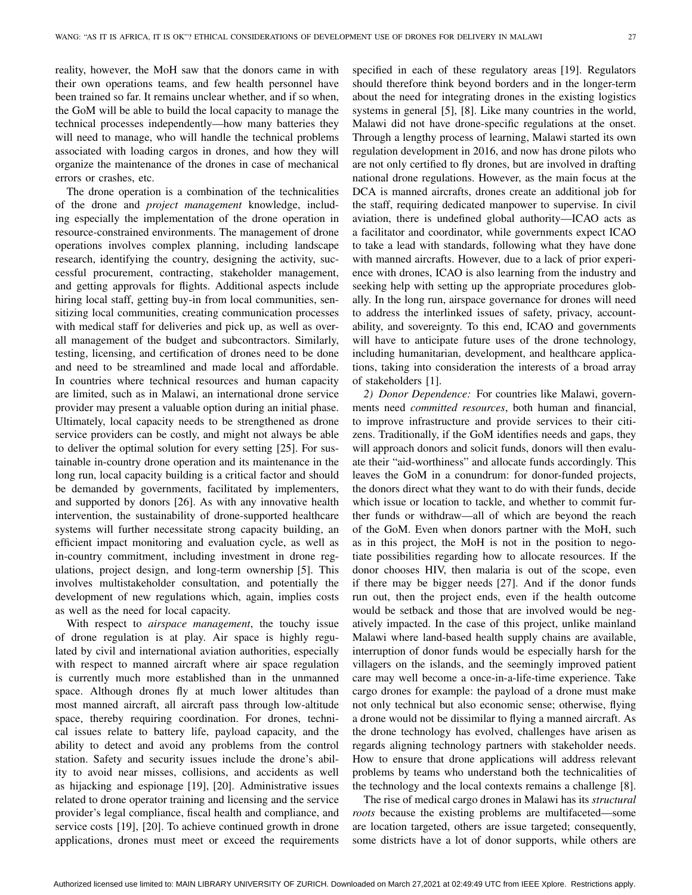reality, however, the MoH saw that the donors came in with their own operations teams, and few health personnel have been trained so far. It remains unclear whether, and if so when, the GoM will be able to build the local capacity to manage the technical processes independently—how many batteries they will need to manage, who will handle the technical problems associated with loading cargos in drones, and how they will organize the maintenance of the drones in case of mechanical errors or crashes, etc.

The drone operation is a combination of the technicalities of the drone and *project management* knowledge, including especially the implementation of the drone operation in resource-constrained environments. The management of drone operations involves complex planning, including landscape research, identifying the country, designing the activity, successful procurement, contracting, stakeholder management, and getting approvals for flights. Additional aspects include hiring local staff, getting buy-in from local communities, sensitizing local communities, creating communication processes with medical staff for deliveries and pick up, as well as overall management of the budget and subcontractors. Similarly, testing, licensing, and certification of drones need to be done and need to be streamlined and made local and affordable. In countries where technical resources and human capacity are limited, such as in Malawi, an international drone service provider may present a valuable option during an initial phase. Ultimately, local capacity needs to be strengthened as drone service providers can be costly, and might not always be able to deliver the optimal solution for every setting [\[25\]](#page-10-23). For sustainable in-country drone operation and its maintenance in the long run, local capacity building is a critical factor and should be demanded by governments, facilitated by implementers, and supported by donors [\[26\]](#page-10-24). As with any innovative health intervention, the sustainability of drone-supported healthcare systems will further necessitate strong capacity building, an efficient impact monitoring and evaluation cycle, as well as in-country commitment, including investment in drone regulations, project design, and long-term ownership [\[5\]](#page-10-4). This involves multistakeholder consultation, and potentially the development of new regulations which, again, implies costs as well as the need for local capacity.

With respect to *airspace management*, the touchy issue of drone regulation is at play. Air space is highly regulated by civil and international aviation authorities, especially with respect to manned aircraft where air space regulation is currently much more established than in the unmanned space. Although drones fly at much lower altitudes than most manned aircraft, all aircraft pass through low-altitude space, thereby requiring coordination. For drones, technical issues relate to battery life, payload capacity, and the ability to detect and avoid any problems from the control station. Safety and security issues include the drone's ability to avoid near misses, collisions, and accidents as well as hijacking and espionage [\[19\]](#page-10-16), [\[20\]](#page-10-17). Administrative issues related to drone operator training and licensing and the service provider's legal compliance, fiscal health and compliance, and service costs [\[19\]](#page-10-16), [\[20\]](#page-10-17). To achieve continued growth in drone applications, drones must meet or exceed the requirements

specified in each of these regulatory areas [\[19\]](#page-10-16). Regulators should therefore think beyond borders and in the longer-term about the need for integrating drones in the existing logistics systems in general [\[5\]](#page-10-4), [\[8\]](#page-10-20). Like many countries in the world, Malawi did not have drone-specific regulations at the onset. Through a lengthy process of learning, Malawi started its own regulation development in 2016, and now has drone pilots who are not only certified to fly drones, but are involved in drafting national drone regulations. However, as the main focus at the DCA is manned aircrafts, drones create an additional job for the staff, requiring dedicated manpower to supervise. In civil aviation, there is undefined global authority—ICAO acts as a facilitator and coordinator, while governments expect ICAO to take a lead with standards, following what they have done with manned aircrafts. However, due to a lack of prior experience with drones, ICAO is also learning from the industry and seeking help with setting up the appropriate procedures globally. In the long run, airspace governance for drones will need to address the interlinked issues of safety, privacy, accountability, and sovereignty. To this end, ICAO and governments will have to anticipate future uses of the drone technology, including humanitarian, development, and healthcare applications, taking into consideration the interests of a broad array of stakeholders [\[1\]](#page-10-0).

*2) Donor Dependence:* For countries like Malawi, governments need *committed resources*, both human and financial, to improve infrastructure and provide services to their citizens. Traditionally, if the GoM identifies needs and gaps, they will approach donors and solicit funds, donors will then evaluate their "aid-worthiness" and allocate funds accordingly. This leaves the GoM in a conundrum: for donor-funded projects, the donors direct what they want to do with their funds, decide which issue or location to tackle, and whether to commit further funds or withdraw—all of which are beyond the reach of the GoM. Even when donors partner with the MoH, such as in this project, the MoH is not in the position to negotiate possibilities regarding how to allocate resources. If the donor chooses HIV, then malaria is out of the scope, even if there may be bigger needs [\[27\]](#page-10-25). And if the donor funds run out, then the project ends, even if the health outcome would be setback and those that are involved would be negatively impacted. In the case of this project, unlike mainland Malawi where land-based health supply chains are available, interruption of donor funds would be especially harsh for the villagers on the islands, and the seemingly improved patient care may well become a once-in-a-life-time experience. Take cargo drones for example: the payload of a drone must make not only technical but also economic sense; otherwise, flying a drone would not be dissimilar to flying a manned aircraft. As the drone technology has evolved, challenges have arisen as regards aligning technology partners with stakeholder needs. How to ensure that drone applications will address relevant problems by teams who understand both the technicalities of the technology and the local contexts remains a challenge [\[8\]](#page-10-20).

The rise of medical cargo drones in Malawi has its *structural roots* because the existing problems are multifaceted—some are location targeted, others are issue targeted; consequently, some districts have a lot of donor supports, while others are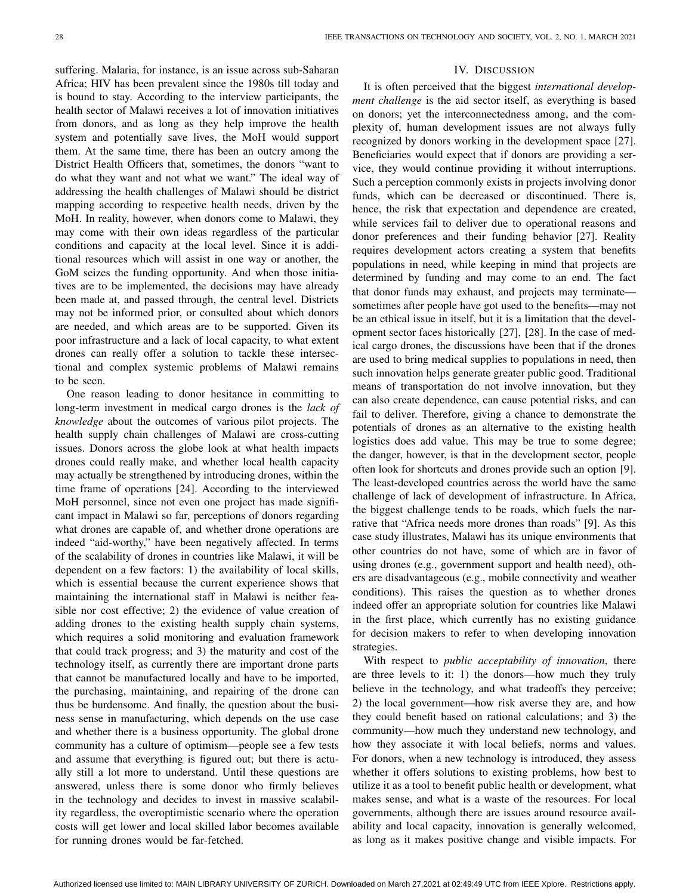suffering. Malaria, for instance, is an issue across sub-Saharan Africa; HIV has been prevalent since the 1980s till today and is bound to stay. According to the interview participants, the health sector of Malawi receives a lot of innovation initiatives from donors, and as long as they help improve the health system and potentially save lives, the MoH would support them. At the same time, there has been an outcry among the District Health Officers that, sometimes, the donors "want to do what they want and not what we want." The ideal way of addressing the health challenges of Malawi should be district mapping according to respective health needs, driven by the MoH. In reality, however, when donors come to Malawi, they may come with their own ideas regardless of the particular conditions and capacity at the local level. Since it is additional resources which will assist in one way or another, the GoM seizes the funding opportunity. And when those initiatives are to be implemented, the decisions may have already been made at, and passed through, the central level. Districts may not be informed prior, or consulted about which donors are needed, and which areas are to be supported. Given its poor infrastructure and a lack of local capacity, to what extent drones can really offer a solution to tackle these intersectional and complex systemic problems of Malawi remains to be seen.

One reason leading to donor hesitance in committing to long-term investment in medical cargo drones is the *lack of knowledge* about the outcomes of various pilot projects. The health supply chain challenges of Malawi are cross-cutting issues. Donors across the globe look at what health impacts drones could really make, and whether local health capacity may actually be strengthened by introducing drones, within the time frame of operations [\[24\]](#page-10-22). According to the interviewed MoH personnel, since not even one project has made significant impact in Malawi so far, perceptions of donors regarding what drones are capable of, and whether drone operations are indeed "aid-worthy," have been negatively affected. In terms of the scalability of drones in countries like Malawi, it will be dependent on a few factors: 1) the availability of local skills, which is essential because the current experience shows that maintaining the international staff in Malawi is neither feasible nor cost effective; 2) the evidence of value creation of adding drones to the existing health supply chain systems, which requires a solid monitoring and evaluation framework that could track progress; and 3) the maturity and cost of the technology itself, as currently there are important drone parts that cannot be manufactured locally and have to be imported, the purchasing, maintaining, and repairing of the drone can thus be burdensome. And finally, the question about the business sense in manufacturing, which depends on the use case and whether there is a business opportunity. The global drone community has a culture of optimism—people see a few tests and assume that everything is figured out; but there is actually still a lot more to understand. Until these questions are answered, unless there is some donor who firmly believes in the technology and decides to invest in massive scalability regardless, the overoptimistic scenario where the operation costs will get lower and local skilled labor becomes available for running drones would be far-fetched.

## IV. DISCUSSION

It is often perceived that the biggest *international development challenge* is the aid sector itself, as everything is based on donors; yet the interconnectedness among, and the complexity of, human development issues are not always fully recognized by donors working in the development space [\[27\]](#page-10-25). Beneficiaries would expect that if donors are providing a service, they would continue providing it without interruptions. Such a perception commonly exists in projects involving donor funds, which can be decreased or discontinued. There is, hence, the risk that expectation and dependence are created, while services fail to deliver due to operational reasons and donor preferences and their funding behavior [\[27\]](#page-10-25). Reality requires development actors creating a system that benefits populations in need, while keeping in mind that projects are determined by funding and may come to an end. The fact that donor funds may exhaust, and projects may terminate sometimes after people have got used to the benefits—may not be an ethical issue in itself, but it is a limitation that the development sector faces historically [\[27\]](#page-10-25), [\[28\]](#page-10-26). In the case of medical cargo drones, the discussions have been that if the drones are used to bring medical supplies to populations in need, then such innovation helps generate greater public good. Traditional means of transportation do not involve innovation, but they can also create dependence, can cause potential risks, and can fail to deliver. Therefore, giving a chance to demonstrate the potentials of drones as an alternative to the existing health logistics does add value. This may be true to some degree; the danger, however, is that in the development sector, people often look for shortcuts and drones provide such an option [\[9\]](#page-10-6). The least-developed countries across the world have the same challenge of lack of development of infrastructure. In Africa, the biggest challenge tends to be roads, which fuels the narrative that "Africa needs more drones than roads" [\[9\]](#page-10-6). As this case study illustrates, Malawi has its unique environments that other countries do not have, some of which are in favor of using drones (e.g., government support and health need), others are disadvantageous (e.g., mobile connectivity and weather conditions). This raises the question as to whether drones indeed offer an appropriate solution for countries like Malawi in the first place, which currently has no existing guidance for decision makers to refer to when developing innovation strategies.

With respect to *public acceptability of innovation*, there are three levels to it: 1) the donors—how much they truly believe in the technology, and what tradeoffs they perceive; 2) the local government—how risk averse they are, and how they could benefit based on rational calculations; and 3) the community—how much they understand new technology, and how they associate it with local beliefs, norms and values. For donors, when a new technology is introduced, they assess whether it offers solutions to existing problems, how best to utilize it as a tool to benefit public health or development, what makes sense, and what is a waste of the resources. For local governments, although there are issues around resource availability and local capacity, innovation is generally welcomed, as long as it makes positive change and visible impacts. For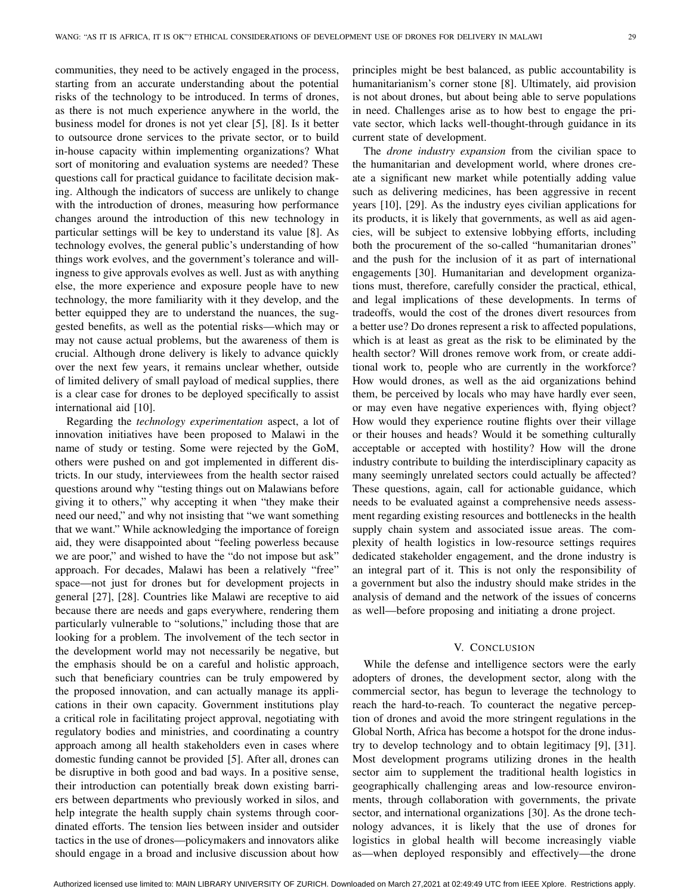communities, they need to be actively engaged in the process, starting from an accurate understanding about the potential risks of the technology to be introduced. In terms of drones, as there is not much experience anywhere in the world, the business model for drones is not yet clear [\[5\]](#page-10-4), [\[8\]](#page-10-20). Is it better to outsource drone services to the private sector, or to build in-house capacity within implementing organizations? What sort of monitoring and evaluation systems are needed? These questions call for practical guidance to facilitate decision making. Although the indicators of success are unlikely to change with the introduction of drones, measuring how performance changes around the introduction of this new technology in particular settings will be key to understand its value [\[8\]](#page-10-20). As technology evolves, the general public's understanding of how things work evolves, and the government's tolerance and willingness to give approvals evolves as well. Just as with anything else, the more experience and exposure people have to new technology, the more familiarity with it they develop, and the better equipped they are to understand the nuances, the suggested benefits, as well as the potential risks—which may or may not cause actual problems, but the awareness of them is crucial. Although drone delivery is likely to advance quickly over the next few years, it remains unclear whether, outside of limited delivery of small payload of medical supplies, there is a clear case for drones to be deployed specifically to assist international aid [\[10\]](#page-10-7).

Regarding the *technology experimentation* aspect, a lot of innovation initiatives have been proposed to Malawi in the name of study or testing. Some were rejected by the GoM, others were pushed on and got implemented in different districts. In our study, interviewees from the health sector raised questions around why "testing things out on Malawians before giving it to others," why accepting it when "they make their need our need," and why not insisting that "we want something that we want." While acknowledging the importance of foreign aid, they were disappointed about "feeling powerless because we are poor," and wished to have the "do not impose but ask" approach. For decades, Malawi has been a relatively "free" space—not just for drones but for development projects in general [\[27\]](#page-10-25), [\[28\]](#page-10-26). Countries like Malawi are receptive to aid because there are needs and gaps everywhere, rendering them particularly vulnerable to "solutions," including those that are looking for a problem. The involvement of the tech sector in the development world may not necessarily be negative, but the emphasis should be on a careful and holistic approach, such that beneficiary countries can be truly empowered by the proposed innovation, and can actually manage its applications in their own capacity. Government institutions play a critical role in facilitating project approval, negotiating with regulatory bodies and ministries, and coordinating a country approach among all health stakeholders even in cases where domestic funding cannot be provided [\[5\]](#page-10-4). After all, drones can be disruptive in both good and bad ways. In a positive sense, their introduction can potentially break down existing barriers between departments who previously worked in silos, and help integrate the health supply chain systems through coordinated efforts. The tension lies between insider and outsider tactics in the use of drones—policymakers and innovators alike should engage in a broad and inclusive discussion about how

principles might be best balanced, as public accountability is humanitarianism's corner stone [\[8\]](#page-10-20). Ultimately, aid provision is not about drones, but about being able to serve populations in need. Challenges arise as to how best to engage the private sector, which lacks well-thought-through guidance in its current state of development.

The *drone industry expansion* from the civilian space to the humanitarian and development world, where drones create a significant new market while potentially adding value such as delivering medicines, has been aggressive in recent years [\[10\]](#page-10-7), [\[29\]](#page-10-27). As the industry eyes civilian applications for its products, it is likely that governments, as well as aid agencies, will be subject to extensive lobbying efforts, including both the procurement of the so-called "humanitarian drones" and the push for the inclusion of it as part of international engagements [\[30\]](#page-10-28). Humanitarian and development organizations must, therefore, carefully consider the practical, ethical, and legal implications of these developments. In terms of tradeoffs, would the cost of the drones divert resources from a better use? Do drones represent a risk to affected populations, which is at least as great as the risk to be eliminated by the health sector? Will drones remove work from, or create additional work to, people who are currently in the workforce? How would drones, as well as the aid organizations behind them, be perceived by locals who may have hardly ever seen, or may even have negative experiences with, flying object? How would they experience routine flights over their village or their houses and heads? Would it be something culturally acceptable or accepted with hostility? How will the drone industry contribute to building the interdisciplinary capacity as many seemingly unrelated sectors could actually be affected? These questions, again, call for actionable guidance, which needs to be evaluated against a comprehensive needs assessment regarding existing resources and bottlenecks in the health supply chain system and associated issue areas. The complexity of health logistics in low-resource settings requires dedicated stakeholder engagement, and the drone industry is an integral part of it. This is not only the responsibility of a government but also the industry should make strides in the analysis of demand and the network of the issues of concerns as well—before proposing and initiating a drone project.

## V. CONCLUSION

While the defense and intelligence sectors were the early adopters of drones, the development sector, along with the commercial sector, has begun to leverage the technology to reach the hard-to-reach. To counteract the negative perception of drones and avoid the more stringent regulations in the Global North, Africa has become a hotspot for the drone industry to develop technology and to obtain legitimacy [\[9\]](#page-10-6), [\[31\]](#page-10-29). Most development programs utilizing drones in the health sector aim to supplement the traditional health logistics in geographically challenging areas and low-resource environments, through collaboration with governments, the private sector, and international organizations [\[30\]](#page-10-28). As the drone technology advances, it is likely that the use of drones for logistics in global health will become increasingly viable as—when deployed responsibly and effectively—the drone